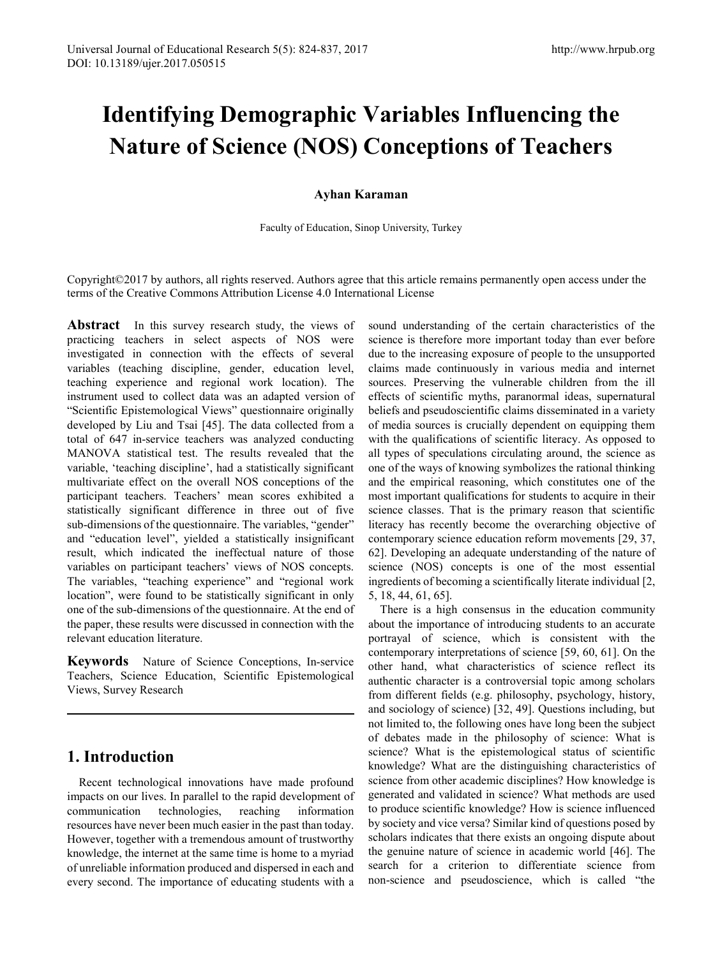# **Identifying Demographic Variables Influencing the Nature of Science (NOS) Conceptions of Teachers**

## **Ayhan Karaman**

Faculty of Education, Sinop University, Turkey

Copyright©2017 by authors, all rights reserved. Authors agree that this article remains permanently open access under the terms of the Creative Commons Attribution License 4.0 International License

**Abstract** In this survey research study, the views of practicing teachers in select aspects of NOS were investigated in connection with the effects of several variables (teaching discipline, gender, education level, teaching experience and regional work location). The instrument used to collect data was an adapted version of "Scientific Epistemological Views" questionnaire originally developed by Liu and Tsai [45]. The data collected from a total of 647 in-service teachers was analyzed conducting MANOVA statistical test. The results revealed that the variable, 'teaching discipline', had a statistically significant multivariate effect on the overall NOS conceptions of the participant teachers. Teachers' mean scores exhibited a statistically significant difference in three out of five sub-dimensions of the questionnaire. The variables, "gender" and "education level", yielded a statistically insignificant result, which indicated the ineffectual nature of those variables on participant teachers' views of NOS concepts. The variables, "teaching experience" and "regional work location", were found to be statistically significant in only one of the sub-dimensions of the questionnaire. At the end of the paper, these results were discussed in connection with the relevant education literature.

**Keywords** Nature of Science Conceptions, In-service Teachers, Science Education, Scientific Epistemological Views, Survey Research

## **1. Introduction**

Recent technological innovations have made profound impacts on our lives. In parallel to the rapid development of communication technologies, reaching information resources have never been much easier in the past than today. However, together with a tremendous amount of trustworthy knowledge, the internet at the same time is home to a myriad of unreliable information produced and dispersed in each and every second. The importance of educating students with a sound understanding of the certain characteristics of the science is therefore more important today than ever before due to the increasing exposure of people to the unsupported claims made continuously in various media and internet sources. Preserving the vulnerable children from the ill effects of scientific myths, paranormal ideas, supernatural beliefs and pseudoscientific claims disseminated in a variety of media sources is crucially dependent on equipping them with the qualifications of scientific literacy. As opposed to all types of speculations circulating around, the science as one of the ways of knowing symbolizes the rational thinking and the empirical reasoning, which constitutes one of the most important qualifications for students to acquire in their science classes. That is the primary reason that scientific literacy has recently become the overarching objective of contemporary science education reform movements [29, 37, 62]. Developing an adequate understanding of the nature of science (NOS) concepts is one of the most essential ingredients of becoming a scientifically literate individual [2, 5, 18, 44, 61, 65].

There is a high consensus in the education community about the importance of introducing students to an accurate portrayal of science, which is consistent with the contemporary interpretations of science [59, 60, 61]. On the other hand, what characteristics of science reflect its authentic character is a controversial topic among scholars from different fields (e.g. philosophy, psychology, history, and sociology of science) [32, 49]. Questions including, but not limited to, the following ones have long been the subject of debates made in the philosophy of science: What is science? What is the epistemological status of scientific knowledge? What are the distinguishing characteristics of science from other academic disciplines? How knowledge is generated and validated in science? What methods are used to produce scientific knowledge? How is science influenced by society and vice versa? Similar kind of questions posed by scholars indicates that there exists an ongoing dispute about the genuine nature of science in academic world [46]. The search for a criterion to differentiate science from non-science and pseudoscience, which is called "the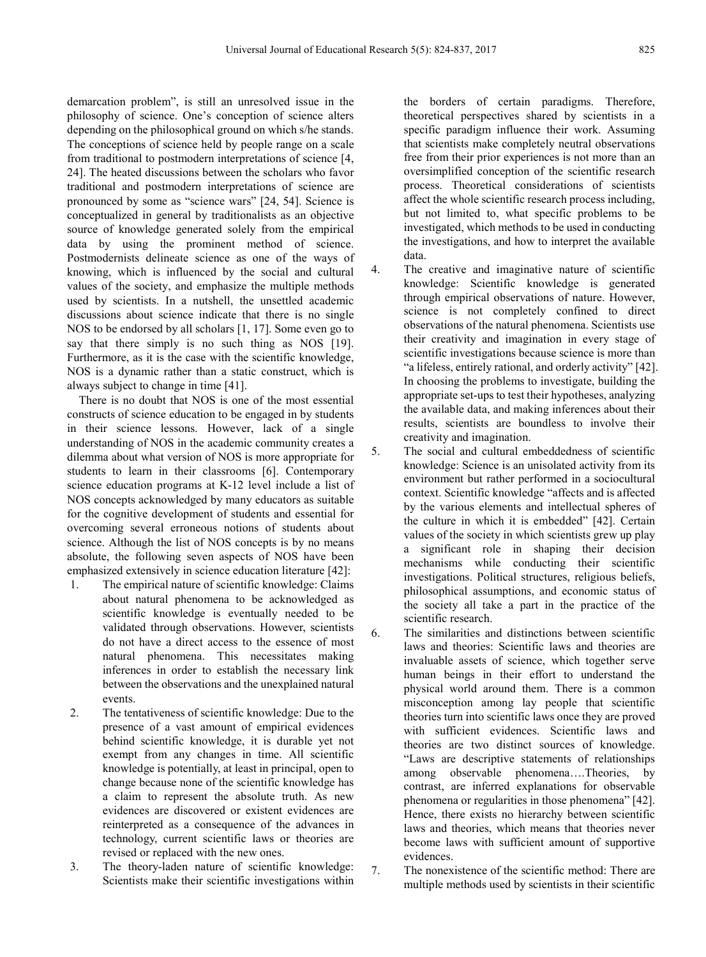demarcation problem", is still an unresolved issue in the philosophy of science. One's conception of science alters depending on the philosophical ground on which s/he stands. The conceptions of science held by people range on a scale from traditional to postmodern interpretations of science [4, 24]. The heated discussions between the scholars who favor traditional and postmodern interpretations of science are pronounced by some as "science wars" [24, 54]. Science is conceptualized in general by traditionalists as an objective source of knowledge generated solely from the empirical data by using the prominent method of science. Postmodernists delineate science as one of the ways of knowing, which is influenced by the social and cultural values of the society, and emphasize the multiple methods used by scientists. In a nutshell, the unsettled academic discussions about science indicate that there is no single NOS to be endorsed by all scholars [1, 17]. Some even go to say that there simply is no such thing as NOS [19]. Furthermore, as it is the case with the scientific knowledge, NOS is a dynamic rather than a static construct, which is always subject to change in time [41].

There is no doubt that NOS is one of the most essential constructs of science education to be engaged in by students in their science lessons. However, lack of a single understanding of NOS in the academic community creates a dilemma about what version of NOS is more appropriate for students to learn in their classrooms [6]. Contemporary science education programs at K-12 level include a list of NOS concepts acknowledged by many educators as suitable for the cognitive development of students and essential for overcoming several erroneous notions of students about science. Although the list of NOS concepts is by no means absolute, the following seven aspects of NOS have been emphasized extensively in science education literature [42]:

- 1. The empirical nature of scientific knowledge: Claims about natural phenomena to be acknowledged as scientific knowledge is eventually needed to be validated through observations. However, scientists do not have a direct access to the essence of most natural phenomena. This necessitates making inferences in order to establish the necessary link between the observations and the unexplained natural events.
- 2. The tentativeness of scientific knowledge: Due to the presence of a vast amount of empirical evidences behind scientific knowledge, it is durable yet not exempt from any changes in time. All scientific knowledge is potentially, at least in principal, open to change because none of the scientific knowledge has a claim to represent the absolute truth. As new evidences are discovered or existent evidences are reinterpreted as a consequence of the advances in technology, current scientific laws or theories are revised or replaced with the new ones.
- 3. The theory-laden nature of scientific knowledge: Scientists make their scientific investigations within

the borders of certain paradigms. Therefore, theoretical perspectives shared by scientists in a specific paradigm influence their work. Assuming that scientists make completely neutral observations free from their prior experiences is not more than an oversimplified conception of the scientific research process. Theoretical considerations of scientists affect the whole scientific research process including, but not limited to, what specific problems to be investigated, which methods to be used in conducting the investigations, and how to interpret the available data.

- 4. The creative and imaginative nature of scientific knowledge: Scientific knowledge is generated through empirical observations of nature. However, science is not completely confined to direct observations of the natural phenomena. Scientists use their creativity and imagination in every stage of scientific investigations because science is more than "a lifeless, entirely rational, and orderly activity" [42]. In choosing the problems to investigate, building the appropriate set-ups to test their hypotheses, analyzing the available data, and making inferences about their results, scientists are boundless to involve their creativity and imagination.
- 5. The social and cultural embeddedness of scientific knowledge: Science is an unisolated activity from its environment but rather performed in a sociocultural context. Scientific knowledge "affects and is affected by the various elements and intellectual spheres of the culture in which it is embedded" [42]. Certain values of the society in which scientists grew up play a significant role in shaping their decision mechanisms while conducting their scientific investigations. Political structures, religious beliefs, philosophical assumptions, and economic status of the society all take a part in the practice of the scientific research.

6. The similarities and distinctions between scientific laws and theories: Scientific laws and theories are invaluable assets of science, which together serve human beings in their effort to understand the physical world around them. There is a common misconception among lay people that scientific theories turn into scientific laws once they are proved with sufficient evidences. Scientific laws and theories are two distinct sources of knowledge. "Laws are descriptive statements of relationships among observable phenomena….Theories, by contrast, are inferred explanations for observable phenomena or regularities in those phenomena" [42]. Hence, there exists no hierarchy between scientific laws and theories, which means that theories never become laws with sufficient amount of supportive evidences.

7. The nonexistence of the scientific method: There are multiple methods used by scientists in their scientific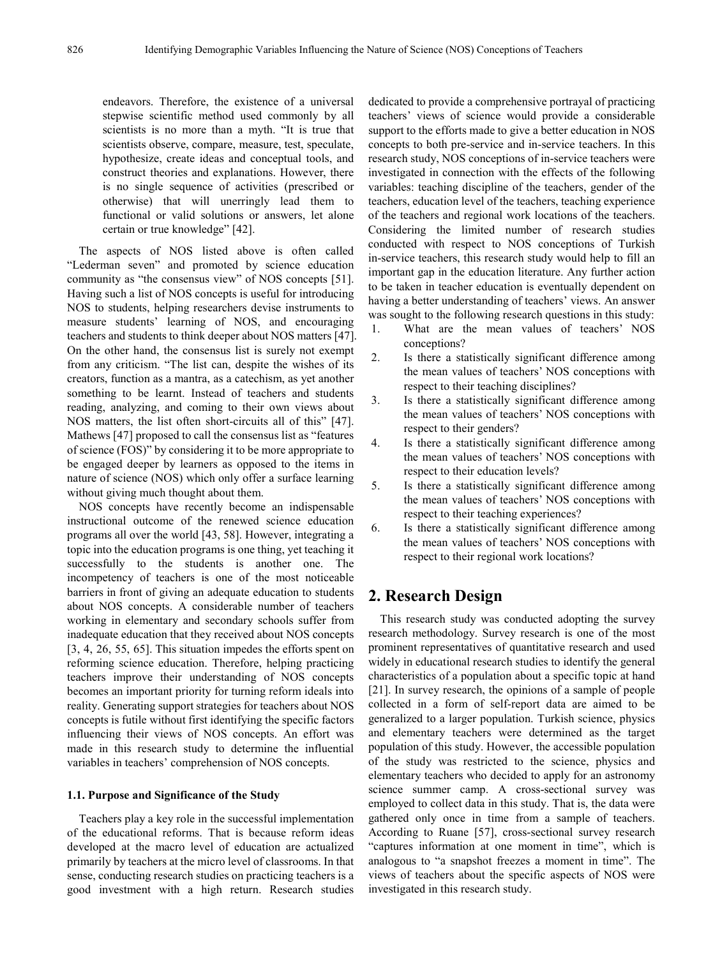endeavors. Therefore, the existence of a universal stepwise scientific method used commonly by all scientists is no more than a myth. "It is true that scientists observe, compare, measure, test, speculate, hypothesize, create ideas and conceptual tools, and construct theories and explanations. However, there is no single sequence of activities (prescribed or otherwise) that will unerringly lead them to functional or valid solutions or answers, let alone certain or true knowledge" [42].

The aspects of NOS listed above is often called "Lederman seven" and promoted by science education community as "the consensus view" of NOS concepts [51]. Having such a list of NOS concepts is useful for introducing NOS to students, helping researchers devise instruments to measure students' learning of NOS, and encouraging teachers and students to think deeper about NOS matters [47]. On the other hand, the consensus list is surely not exempt from any criticism. "The list can, despite the wishes of its creators, function as a mantra, as a catechism, as yet another something to be learnt. Instead of teachers and students reading, analyzing, and coming to their own views about NOS matters, the list often short-circuits all of this" [47]. Mathews [47] proposed to call the consensus list as "features of science (FOS)" by considering it to be more appropriate to be engaged deeper by learners as opposed to the items in nature of science (NOS) which only offer a surface learning without giving much thought about them.

NOS concepts have recently become an indispensable instructional outcome of the renewed science education programs all over the world [43, 58]. However, integrating a topic into the education programs is one thing, yet teaching it successfully to the students is another one. The incompetency of teachers is one of the most noticeable barriers in front of giving an adequate education to students about NOS concepts. A considerable number of teachers working in elementary and secondary schools suffer from inadequate education that they received about NOS concepts [3, 4, 26, 55, 65]. This situation impedes the efforts spent on reforming science education. Therefore, helping practicing teachers improve their understanding of NOS concepts becomes an important priority for turning reform ideals into reality. Generating support strategies for teachers about NOS concepts is futile without first identifying the specific factors influencing their views of NOS concepts. An effort was made in this research study to determine the influential variables in teachers' comprehension of NOS concepts.

#### **1.1. Purpose and Significance of the Study**

Teachers play a key role in the successful implementation of the educational reforms. That is because reform ideas developed at the macro level of education are actualized primarily by teachers at the micro level of classrooms. In that sense, conducting research studies on practicing teachers is a good investment with a high return. Research studies

dedicated to provide a comprehensive portrayal of practicing teachers' views of science would provide a considerable support to the efforts made to give a better education in NOS concepts to both pre-service and in-service teachers. In this research study, NOS conceptions of in-service teachers were investigated in connection with the effects of the following variables: teaching discipline of the teachers, gender of the teachers, education level of the teachers, teaching experience of the teachers and regional work locations of the teachers. Considering the limited number of research studies conducted with respect to NOS conceptions of Turkish in-service teachers, this research study would help to fill an important gap in the education literature. Any further action to be taken in teacher education is eventually dependent on having a better understanding of teachers' views. An answer was sought to the following research questions in this study:

- 1. What are the mean values of teachers' NOS conceptions?
- 2. Is there a statistically significant difference among the mean values of teachers' NOS conceptions with respect to their teaching disciplines?
- 3. Is there a statistically significant difference among the mean values of teachers' NOS conceptions with respect to their genders?
- 4. Is there a statistically significant difference among the mean values of teachers' NOS conceptions with respect to their education levels?
- 5. Is there a statistically significant difference among the mean values of teachers' NOS conceptions with respect to their teaching experiences?
- 6. Is there a statistically significant difference among the mean values of teachers' NOS conceptions with respect to their regional work locations?

### **2. Research Design**

This research study was conducted adopting the survey research methodology. Survey research is one of the most prominent representatives of quantitative research and used widely in educational research studies to identify the general characteristics of a population about a specific topic at hand [21]. In survey research, the opinions of a sample of people collected in a form of self-report data are aimed to be generalized to a larger population. Turkish science, physics and elementary teachers were determined as the target population of this study. However, the accessible population of the study was restricted to the science, physics and elementary teachers who decided to apply for an astronomy science summer camp. A cross-sectional survey was employed to collect data in this study. That is, the data were gathered only once in time from a sample of teachers. According to Ruane [57], cross-sectional survey research "captures information at one moment in time", which is analogous to "a snapshot freezes a moment in time". The views of teachers about the specific aspects of NOS were investigated in this research study.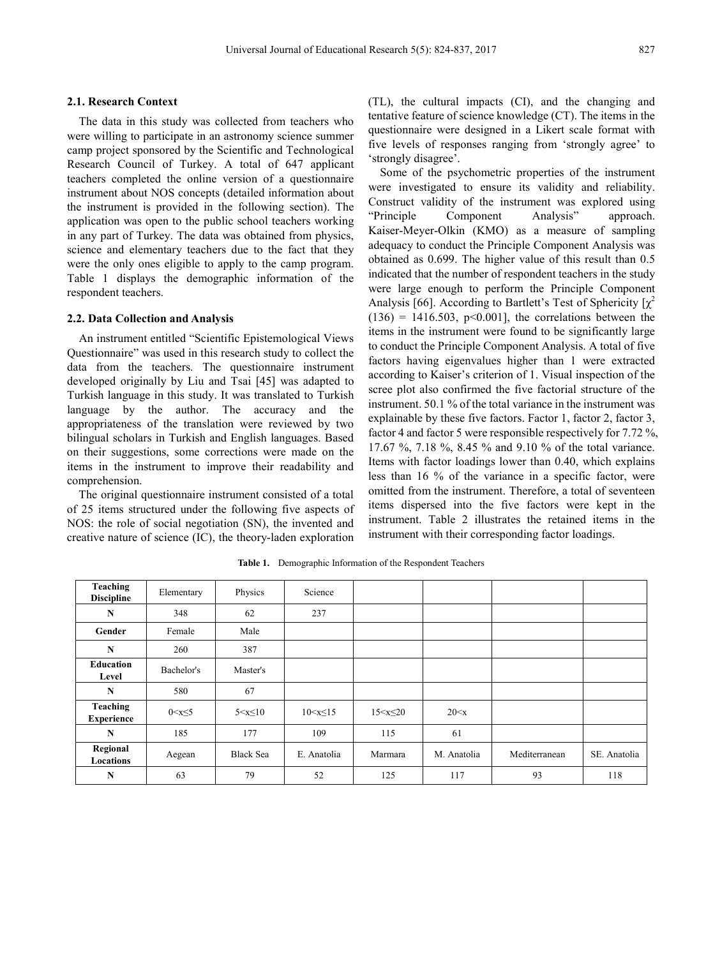#### **2.1. Research Context**

The data in this study was collected from teachers who were willing to participate in an astronomy science summer camp project sponsored by the Scientific and Technological Research Council of Turkey. A total of 647 applicant teachers completed the online version of a questionnaire instrument about NOS concepts (detailed information about the instrument is provided in the following section). The application was open to the public school teachers working in any part of Turkey. The data was obtained from physics, science and elementary teachers due to the fact that they were the only ones eligible to apply to the camp program. Table 1 displays the demographic information of the respondent teachers.

#### **2.2. Data Collection and Analysis**

An instrument entitled "Scientific Epistemological Views Questionnaire" was used in this research study to collect the data from the teachers. The questionnaire instrument developed originally by Liu and Tsai [45] was adapted to Turkish language in this study. It was translated to Turkish language by the author. The accuracy and the appropriateness of the translation were reviewed by two bilingual scholars in Turkish and English languages. Based on their suggestions, some corrections were made on the items in the instrument to improve their readability and comprehension.

The original questionnaire instrument consisted of a total of 25 items structured under the following five aspects of NOS: the role of social negotiation (SN), the invented and creative nature of science (IC), the theory-laden exploration

(TL), the cultural impacts (CI), and the changing and tentative feature of science knowledge (CT). The items in the questionnaire were designed in a Likert scale format with five levels of responses ranging from 'strongly agree' to 'strongly disagree'.

Some of the psychometric properties of the instrument were investigated to ensure its validity and reliability. Construct validity of the instrument was explored using "Principle Component Analysis" approach. Kaiser-Meyer-Olkin (KMO) as a measure of sampling adequacy to conduct the Principle Component Analysis was obtained as 0.699. The higher value of this result than 0.5 indicated that the number of respondent teachers in the study were large enough to perform the Principle Component Analysis [66]. According to Bartlett's Test of Sphericity  $\lceil \chi^2 \rceil$  $(136) = 1416.503$ ,  $p<0.001$ ], the correlations between the items in the instrument were found to be significantly large to conduct the Principle Component Analysis. A total of five factors having eigenvalues higher than 1 were extracted according to Kaiser's criterion of 1. Visual inspection of the scree plot also confirmed the five factorial structure of the instrument. 50.1 % of the total variance in the instrument was explainable by these five factors. Factor 1, factor 2, factor 3, factor 4 and factor 5 were responsible respectively for 7.72 %, 17.67 %, 7.18 %, 8.45 % and 9.10 % of the total variance. Items with factor loadings lower than 0.40, which explains less than 16 % of the variance in a specific factor, were omitted from the instrument. Therefore, a total of seventeen items dispersed into the five factors were kept in the instrument. Table 2 illustrates the retained items in the instrument with their corresponding factor loadings.

| Teaching<br><b>Discipline</b> | Elementary     | Physics          | Science           |                  |             |               |              |
|-------------------------------|----------------|------------------|-------------------|------------------|-------------|---------------|--------------|
| N                             | 348            | 62               | 237               |                  |             |               |              |
| Gender                        | Female         | Male             |                   |                  |             |               |              |
| N                             | 260            | 387              |                   |                  |             |               |              |
| Education<br>Level            | Bachelor's     | Master's         |                   |                  |             |               |              |
| N                             | 580            | 67               |                   |                  |             |               |              |
| Teaching<br><b>Experience</b> | $0 < x \leq 5$ | $5 < x \leq 10$  | $10 \le x \le 15$ | $15 < x \leq 20$ | 20 < x      |               |              |
| N                             | 185            | 177              | 109               | 115              | 61          |               |              |
| Regional<br>Locations         | Aegean         | <b>Black Sea</b> | E. Anatolia       | Marmara          | M. Anatolia | Mediterranean | SE. Anatolia |
| N                             | 63             | 79               | 52                | 125              | 117         | 93            | 118          |

**Table 1.** Demographic Information of the Respondent Teachers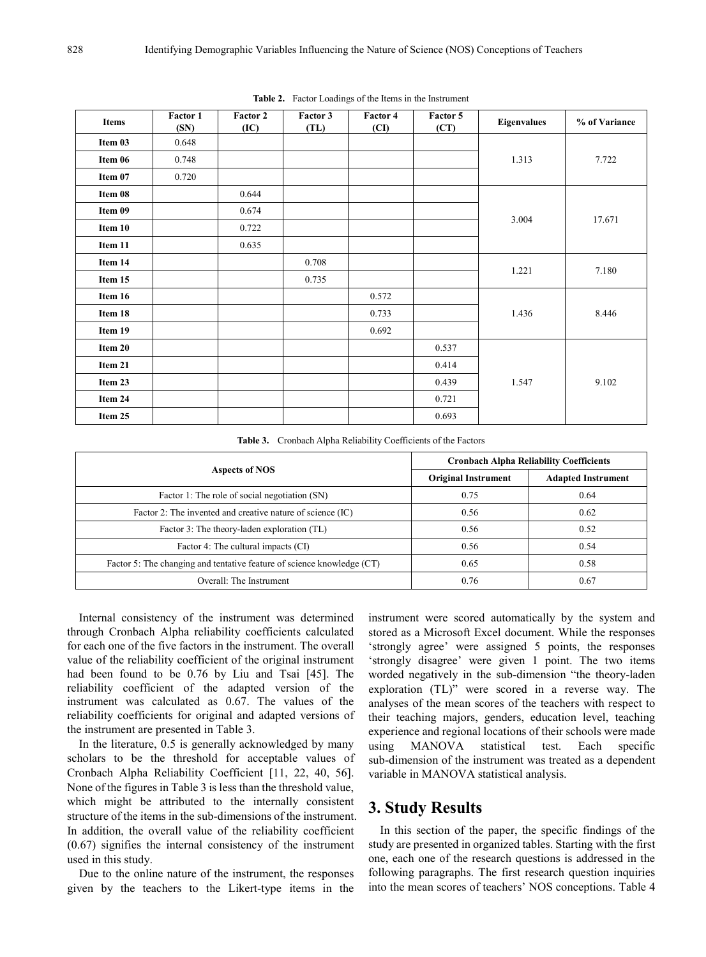| <b>Items</b> | Factor 1<br>(SN) | Factor 2<br>(IC) | Factor 3<br>(TL) | Factor 4<br>(CI) | Factor 5<br>(CT) | <b>Eigenvalues</b> | % of Variance |
|--------------|------------------|------------------|------------------|------------------|------------------|--------------------|---------------|
| Item 03      | 0.648            |                  |                  |                  |                  |                    |               |
| Item 06      | 0.748            |                  |                  |                  |                  | 1.313              | 7.722         |
| Item 07      | 0.720            |                  |                  |                  |                  |                    |               |
| Item 08      |                  | 0.644            |                  |                  |                  |                    |               |
| Item 09      |                  | 0.674            |                  |                  |                  |                    | 17.671        |
| Item 10      |                  | 0.722            |                  |                  |                  | 3.004              |               |
| Item 11      |                  | 0.635            |                  |                  |                  |                    |               |
| Item 14      |                  |                  | 0.708            |                  |                  |                    | 7.180         |
| Item 15      |                  |                  | 0.735            |                  |                  | 1.221              |               |
| Item 16      |                  |                  |                  | 0.572            |                  |                    | 8.446         |
| Item 18      |                  |                  |                  | 0.733            |                  | 1.436              |               |
| Item 19      |                  |                  |                  | 0.692            |                  |                    |               |
| Item 20      |                  |                  |                  |                  | 0.537            |                    |               |
| Item 21      |                  |                  |                  |                  | 0.414            |                    |               |
| Item 23      |                  |                  |                  |                  | 0.439            | 1.547              | 9.102         |
| Item 24      |                  |                  |                  |                  | 0.721            |                    |               |
| Item 25      |                  |                  |                  |                  | 0.693            |                    |               |

**Table 2.** Factor Loadings of the Items in the Instrument

**Table 3.** Cronbach Alpha Reliability Coefficients of the Factors

|                                                                        | <b>Cronbach Alpha Reliability Coefficients</b> |                           |  |  |
|------------------------------------------------------------------------|------------------------------------------------|---------------------------|--|--|
| Aspects of NOS                                                         | <b>Original Instrument</b>                     | <b>Adapted Instrument</b> |  |  |
| Factor 1: The role of social negotiation (SN)                          | 0.75                                           | 0.64                      |  |  |
| Factor 2: The invented and creative nature of science (IC)             | 0.56                                           | 0.62                      |  |  |
| Factor 3: The theory-laden exploration (TL)                            | 0.56                                           | 0.52                      |  |  |
| Factor 4: The cultural impacts (CI)                                    | 0.56                                           | 0.54                      |  |  |
| Factor 5: The changing and tentative feature of science knowledge (CT) | 0.65                                           | 0.58                      |  |  |
| Overall: The Instrument                                                | 0.76                                           | 0.67                      |  |  |

Internal consistency of the instrument was determined through Cronbach Alpha reliability coefficients calculated for each one of the five factors in the instrument. The overall value of the reliability coefficient of the original instrument had been found to be 0.76 by Liu and Tsai [45]. The reliability coefficient of the adapted version of the instrument was calculated as 0.67. The values of the reliability coefficients for original and adapted versions of the instrument are presented in Table 3.

In the literature, 0.5 is generally acknowledged by many scholars to be the threshold for acceptable values of Cronbach Alpha Reliability Coefficient [11, 22, 40, 56]. None of the figures in Table 3 is less than the threshold value, which might be attributed to the internally consistent structure of the items in the sub-dimensions of the instrument. In addition, the overall value of the reliability coefficient (0.67) signifies the internal consistency of the instrument used in this study.

Due to the online nature of the instrument, the responses given by the teachers to the Likert-type items in the instrument were scored automatically by the system and stored as a Microsoft Excel document. While the responses 'strongly agree' were assigned 5 points, the responses 'strongly disagree' were given 1 point. The two items worded negatively in the sub-dimension "the theory-laden exploration (TL)" were scored in a reverse way. The analyses of the mean scores of the teachers with respect to their teaching majors, genders, education level, teaching experience and regional locations of their schools were made using MANOVA statistical test. Each specific sub-dimension of the instrument was treated as a dependent variable in MANOVA statistical analysis.

## **3. Study Results**

In this section of the paper, the specific findings of the study are presented in organized tables. Starting with the first one, each one of the research questions is addressed in the following paragraphs. The first research question inquiries into the mean scores of teachers' NOS conceptions. Table 4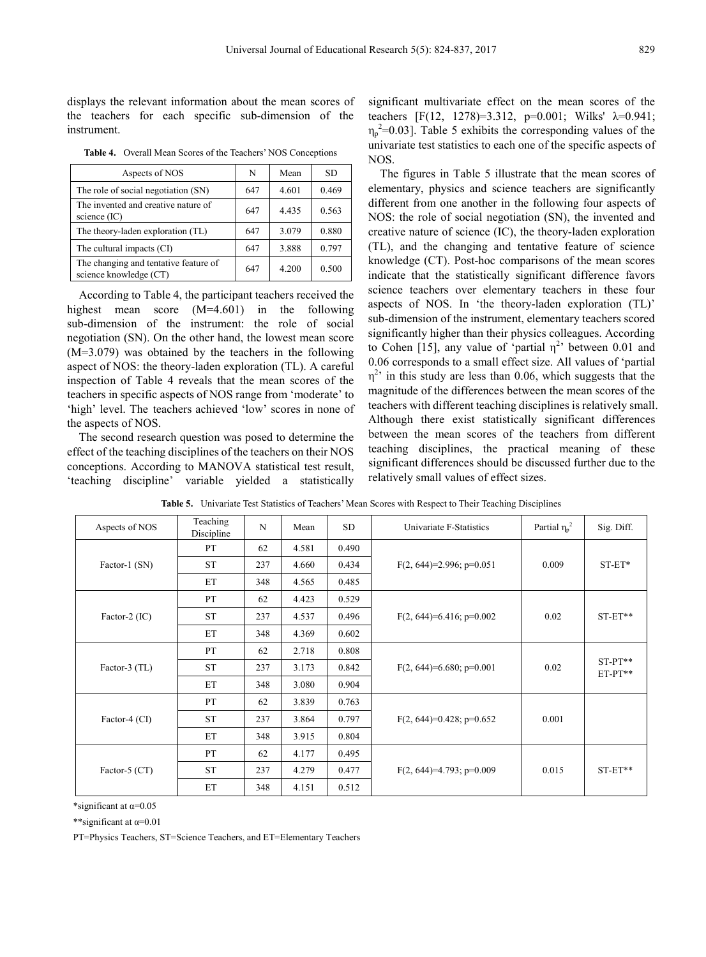displays the relevant information about the mean scores of the teachers for each specific sub-dimension of the instrument.

**Table 4.** Overall Mean Scores of the Teachers' NOS Conceptions

| Aspects of NOS                                                  | N   | Mean  | SD    |
|-----------------------------------------------------------------|-----|-------|-------|
| The role of social negotiation (SN)                             | 647 | 4.601 | 0.469 |
| The invented and creative nature of<br>science $(IC)$           | 647 | 4.435 | 0.563 |
| The theory-laden exploration (TL)                               | 647 | 3.079 | 0.880 |
| The cultural impacts (CI)                                       | 647 | 3.888 | 0.797 |
| The changing and tentative feature of<br>science knowledge (CT) | 647 | 4.200 | 0.500 |

According to Table 4, the participant teachers received the highest mean score (M=4.601) in the following sub-dimension of the instrument: the role of social negotiation (SN). On the other hand, the lowest mean score (M=3.079) was obtained by the teachers in the following aspect of NOS: the theory-laden exploration (TL). A careful inspection of Table 4 reveals that the mean scores of the teachers in specific aspects of NOS range from 'moderate' to 'high' level. The teachers achieved 'low' scores in none of the aspects of NOS.

The second research question was posed to determine the effect of the teaching disciplines of the teachers on their NOS conceptions. According to MANOVA statistical test result, 'teaching discipline' variable yielded a statistically significant multivariate effect on the mean scores of the teachers [F(12, 1278)=3.312, p=0.001; Wilks'  $\lambda$ =0.941;  $\eta_p^2$ =0.03]. Table 5 exhibits the corresponding values of the univariate test statistics to each one of the specific aspects of NOS.

The figures in Table 5 illustrate that the mean scores of elementary, physics and science teachers are significantly different from one another in the following four aspects of NOS: the role of social negotiation (SN), the invented and creative nature of science (IC), the theory-laden exploration (TL), and the changing and tentative feature of science knowledge (CT). Post-hoc comparisons of the mean scores indicate that the statistically significant difference favors science teachers over elementary teachers in these four aspects of NOS. In 'the theory-laden exploration (TL)' sub-dimension of the instrument, elementary teachers scored significantly higher than their physics colleagues. According to Cohen [15], any value of 'partial  $\eta^2$ ' between 0.01 and 0.06 corresponds to a small effect size. All values of 'partial  $\eta^2$  in this study are less than 0.06, which suggests that the magnitude of the differences between the mean scores of the teachers with different teaching disciplines is relatively small. Although there exist statistically significant differences between the mean scores of the teachers from different teaching disciplines, the practical meaning of these significant differences should be discussed further due to the relatively small values of effect sizes.

| Aspects of NOS  | Teaching<br>Discipline | N   | Mean  | <b>SD</b> | Univariate F-Statistics     | Partial $\eta_p^2$ | Sig. Diff.             |
|-----------------|------------------------|-----|-------|-----------|-----------------------------|--------------------|------------------------|
|                 | <b>PT</b>              | 62  | 4.581 | 0.490     |                             |                    | $ST-ET*$               |
| Factor-1 (SN)   | <b>ST</b>              | 237 | 4.660 | 0.434     | $F(2, 644)=2.996$ ; p=0.051 | 0.009              |                        |
|                 | ET                     | 348 | 4.565 | 0.485     |                             |                    |                        |
|                 | PT                     | 62  | 4.423 | 0.529     |                             |                    |                        |
| Factor-2 (IC)   | <b>ST</b>              | 237 | 4.537 | 0.496     | $F(2, 644)=6.416$ ; p=0.002 | 0.02               | $ST-ET**$              |
|                 | ET                     | 348 | 4.369 | 0.602     |                             |                    |                        |
|                 | PT                     | 62  | 2.718 | 0.808     |                             | 0.02               | $ST-PT**$<br>$ET-PT**$ |
| Factor-3 (TL)   | <b>ST</b>              | 237 | 3.173 | 0.842     | $F(2, 644)=6.680; p=0.001$  |                    |                        |
|                 | ET                     | 348 | 3.080 | 0.904     |                             |                    |                        |
|                 | PT                     | 62  | 3.839 | 0.763     |                             | 0.001              |                        |
| Factor-4 (CI)   | <b>ST</b>              | 237 | 3.864 | 0.797     | $F(2, 644)=0.428$ ; p=0.652 |                    |                        |
|                 | ET                     | 348 | 3.915 | 0.804     |                             |                    |                        |
|                 | PT                     | 62  | 4.177 | 0.495     |                             |                    | $ST-ET**$              |
| Factor-5 $(CT)$ | <b>ST</b>              | 237 | 4.279 | 0.477     | $F(2, 644)=4.793$ ; p=0.009 | 0.015              |                        |
|                 | ET                     | 348 | 4.151 | 0.512     |                             |                    |                        |

**Table 5.** Univariate Test Statistics of Teachers' Mean Scores with Respect to Their Teaching Disciplines

\*significant at  $\alpha$ =0.05

\*\*significant at α=0.01

PT=Physics Teachers, ST=Science Teachers, and ET=Elementary Teachers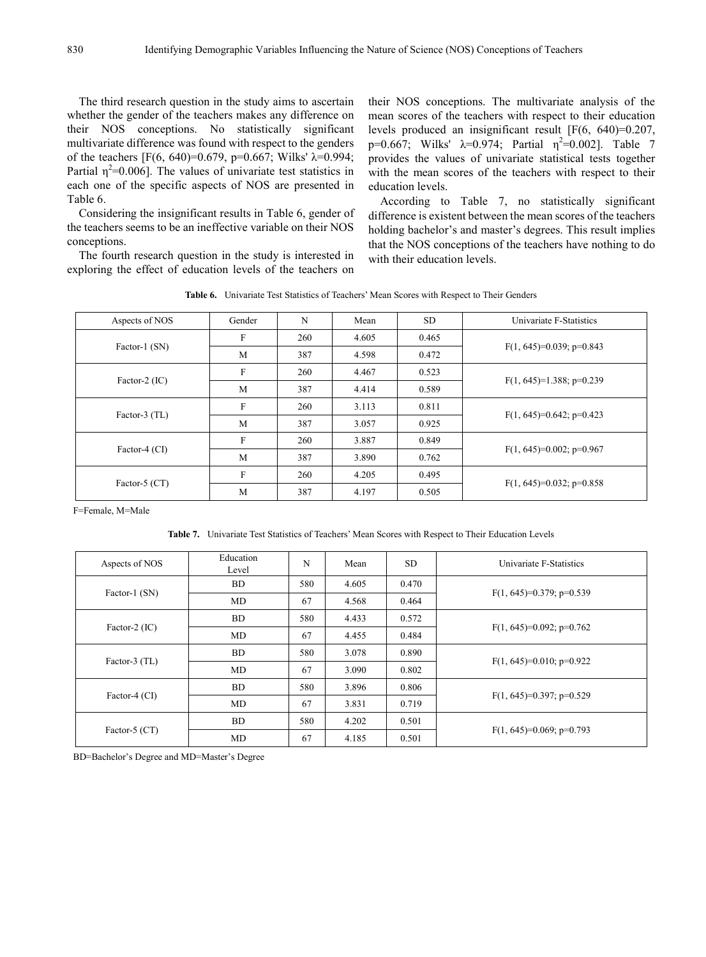The third research question in the study aims to ascertain whether the gender of the teachers makes any difference on their NOS conceptions. No statistically significant multivariate difference was found with respect to the genders of the teachers [F(6, 640)=0.679, p=0.667; Wilks'  $λ=0.994$ ; Partial  $\eta^2$ =0.006]. The values of univariate test statistics in each one of the specific aspects of NOS are presented in Table 6.

Considering the insignificant results in Table 6, gender of the teachers seems to be an ineffective variable on their NOS conceptions.

The fourth research question in the study is interested in exploring the effect of education levels of the teachers on their NOS conceptions. The multivariate analysis of the mean scores of the teachers with respect to their education levels produced an insignificant result [F(6, 640)=0.207, p=0.667; Wilks'  $\lambda$ =0.974; Partial  $\eta^2$ =0.002]. Table 7 provides the values of univariate statistical tests together with the mean scores of the teachers with respect to their education levels.

According to Table 7, no statistically significant difference is existent between the mean scores of the teachers holding bachelor's and master's degrees. This result implies that the NOS conceptions of the teachers have nothing to do with their education levels.

**Table 6.** Univariate Test Statistics of Teachers' Mean Scores with Respect to Their Genders

| Aspects of NOS  | Gender | N   | Mean  | <b>SD</b> | Univariate F-Statistics     |
|-----------------|--------|-----|-------|-----------|-----------------------------|
|                 | F      | 260 | 4.605 | 0.465     |                             |
| Factor-1 (SN)   | M      | 387 | 4.598 | 0.472     | $F(1, 645)=0.039$ ; p=0.843 |
|                 | F      | 260 | 4.467 | 0.523     |                             |
| Factor-2 $(IC)$ | M      | 387 | 4.414 | 0.589     | $F(1, 645)=1.388; p=0.239$  |
| Factor-3 (TL)   | F      | 260 | 3.113 | 0.811     |                             |
|                 | M      | 387 | 3.057 | 0.925     | $F(1, 645)=0.642$ ; p=0.423 |
|                 | F      | 260 | 3.887 | 0.849     |                             |
| Factor-4 (CI)   | M      | 387 | 3.890 | 0.762     | $F(1, 645)=0.002$ ; p=0.967 |
| Factor-5 $(CT)$ | F      |     | 4.205 | 0.495     |                             |
|                 | M      | 387 | 4.197 | 0.505     | $F(1, 645)=0.032$ ; p=0.858 |

F=Female, M=Male

**Table 7.** Univariate Test Statistics of Teachers' Mean Scores with Respect to Their Education Levels

| Aspects of NOS  | Education<br>Level | N   | Mean  | <b>SD</b> | Univariate F-Statistics     |
|-----------------|--------------------|-----|-------|-----------|-----------------------------|
|                 | <b>BD</b>          | 580 | 4.605 | 0.470     |                             |
| Factor-1 (SN)   | MD                 | 67  | 4.568 | 0.464     | $F(1, 645)=0.379$ ; p=0.539 |
|                 | <b>BD</b>          | 580 | 4.433 | 0.572     |                             |
| Factor-2 (IC)   | MD                 | 67  | 4.455 | 0.484     | $F(1, 645)=0.092$ ; p=0.762 |
| Factor-3 (TL)   | <b>BD</b>          | 580 | 3.078 | 0.890     |                             |
|                 | MD                 | 67  | 3.090 | 0.802     | $F(1, 645)=0.010$ ; p=0.922 |
| Factor-4 (CI)   | <b>BD</b>          | 580 | 3.896 | 0.806     |                             |
|                 | MD                 | 67  | 3.831 | 0.719     | $F(1, 645)=0.397$ ; p=0.529 |
| Factor-5 $(CT)$ | <b>BD</b>          | 580 | 4.202 | 0.501     |                             |
|                 | MD                 | 67  | 4.185 | 0.501     | $F(1, 645)=0.069$ ; p=0.793 |

BD=Bachelor's Degree and MD=Master's Degree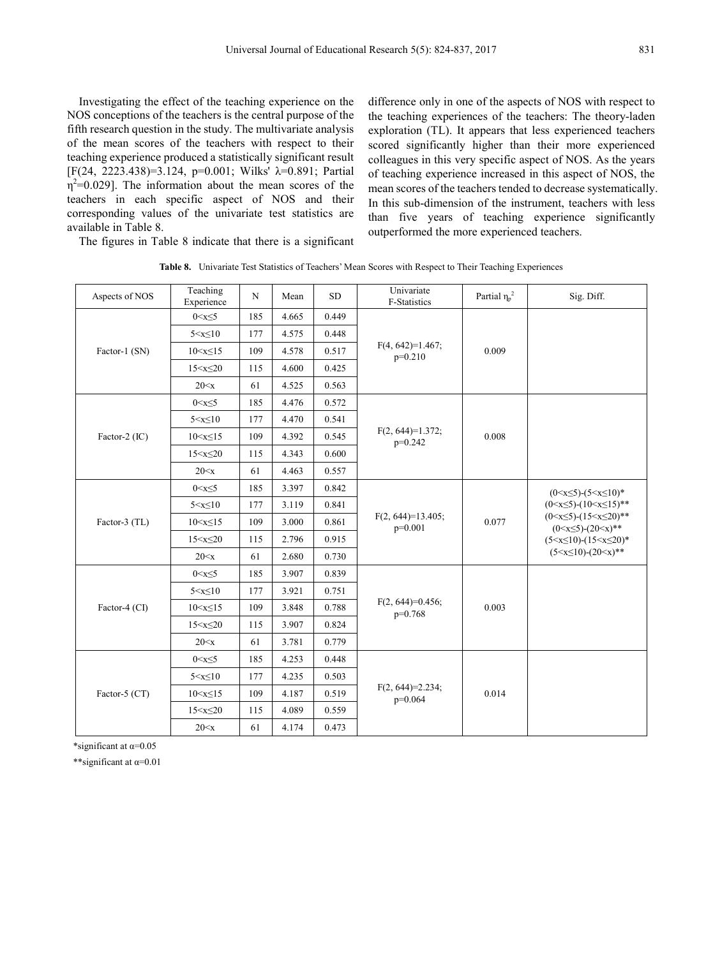Investigating the effect of the teaching experience on the NOS conceptions of the teachers is the central purpose of the fifth research question in the study. The multivariate analysis of the mean scores of the teachers with respect to their teaching experience produced a statistically significant result [F(24, 2223.438)=3.124, p=0.001; Wilks'  $\lambda$ =0.891; Partial  $\eta^2$ =0.029]. The information about the mean scores of the teachers in each specific aspect of NOS and their corresponding values of the univariate test statistics are available in Table 8.

difference only in one of the aspects of NOS with respect to the teaching experiences of the teachers: The theory-laden exploration (TL). It appears that less experienced teachers scored significantly higher than their more experienced colleagues in this very specific aspect of NOS. As the years of teaching experience increased in this aspect of NOS, the mean scores of the teachers tended to decrease systematically. In this sub-dimension of the instrument, teachers with less than five years of teaching experience significantly outperformed the more experienced teachers.

The figures in Table 8 indicate that there is a significant

| Aspects of NOS | Teaching<br>Experience | N   | Mean  | <b>SD</b> | Univariate<br>F-Statistics        | Partial $\eta_p^2$ | Sig. Diff.                                                                                                                                                                                       |
|----------------|------------------------|-----|-------|-----------|-----------------------------------|--------------------|--------------------------------------------------------------------------------------------------------------------------------------------------------------------------------------------------|
| Factor-1 (SN)  | $0 < x \leq 5$         | 185 | 4.665 | 0.449     |                                   |                    |                                                                                                                                                                                                  |
|                | $5 < x \leq 10$        | 177 | 4.575 | 0.448     |                                   |                    |                                                                                                                                                                                                  |
|                | $10 < x \le 15$        | 109 | 4.578 | 0.517     | $F(4, 642)=1.467;$<br>$p=0.210$   | 0.009              |                                                                                                                                                                                                  |
|                | $15 < x \leq 20$       | 115 | 4.600 | 0.425     |                                   |                    |                                                                                                                                                                                                  |
|                | 20 < x                 | 61  | 4.525 | 0.563     |                                   |                    |                                                                                                                                                                                                  |
|                | $0 < x \leq 5$         | 185 | 4.476 | 0.572     |                                   |                    |                                                                                                                                                                                                  |
|                | $5 < x \leq 10$        | 177 | 4.470 | 0.541     |                                   |                    |                                                                                                                                                                                                  |
| Factor-2 (IC)  | $10 < x \le 15$        | 109 | 4.392 | 0.545     | $F(2, 644)=1.372;$<br>$p=0.242$   | 0.008              |                                                                                                                                                                                                  |
|                | $15 < x \leq 20$       | 115 | 4.343 | 0.600     |                                   |                    |                                                                                                                                                                                                  |
|                | 20 < x                 | 61  | 4.463 | 0.557     |                                   |                    |                                                                                                                                                                                                  |
|                | $0 < x \leq 5$         | 185 | 3.397 | 0.842     |                                   | 0.077              | $(0 \le x \le 5)$ - $(5 \le x \le 10)^*$                                                                                                                                                         |
|                | $5 < x \leq 10$        | 177 | 3.119 | 0.841     | $F(2, 644)=13.405$ ;<br>$p=0.001$ |                    | $(0 \le x \le 5)$ - $(10 \le x \le 15)$ **<br>$(0 < x \le 5)$ - $(15 < x \le 20)**$<br>$(0 < x \leq 5)$ - $(20 < x)**$<br>$(5 < x \le 10)$ - $(15 < x \le 20)*$<br>$(5 < x \le 10) - (20 < x)**$ |
| Factor-3 (TL)  | $10 < x \le 15$        | 109 | 3.000 | 0.861     |                                   |                    |                                                                                                                                                                                                  |
|                | $15 < x \leq 20$       | 115 | 2.796 | 0.915     |                                   |                    |                                                                                                                                                                                                  |
|                | 20 < x                 | 61  | 2.680 | 0.730     |                                   |                    |                                                                                                                                                                                                  |
|                | $0 < x \leq 5$         | 185 | 3.907 | 0.839     |                                   | 0.003              |                                                                                                                                                                                                  |
|                | $5 < x \leq 10$        | 177 | 3.921 | 0.751     |                                   |                    |                                                                                                                                                                                                  |
| Factor-4 (CI)  | $10 < x \le 15$        | 109 | 3.848 | 0.788     | $F(2, 644)=0.456;$<br>$p=0.768$   |                    |                                                                                                                                                                                                  |
|                | $15 < x \leq 20$       | 115 | 3.907 | 0.824     |                                   |                    |                                                                                                                                                                                                  |
|                | 20 < x                 | 61  | 3.781 | 0.779     |                                   |                    |                                                                                                                                                                                                  |
|                | $0 < x \leq 5$         | 185 | 4.253 | 0.448     |                                   |                    |                                                                                                                                                                                                  |
|                | $5 < x \leq 10$        | 177 | 4.235 | 0.503     |                                   | 0.014              |                                                                                                                                                                                                  |
| Factor-5 (CT)  | $10 < x \le 15$        | 109 | 4.187 | 0.519     | $F(2, 644)=2.234;$<br>$p=0.064$   |                    |                                                                                                                                                                                                  |
|                | $15 < x \leq 20$       | 115 | 4.089 | 0.559     |                                   |                    |                                                                                                                                                                                                  |
|                | 20 < x                 | 61  | 4.174 | 0.473     |                                   |                    |                                                                                                                                                                                                  |

**Table 8.** Univariate Test Statistics of Teachers' Mean Scores with Respect to Their Teaching Experiences

\*significant at α=0.05

\*\*significant at α=0.01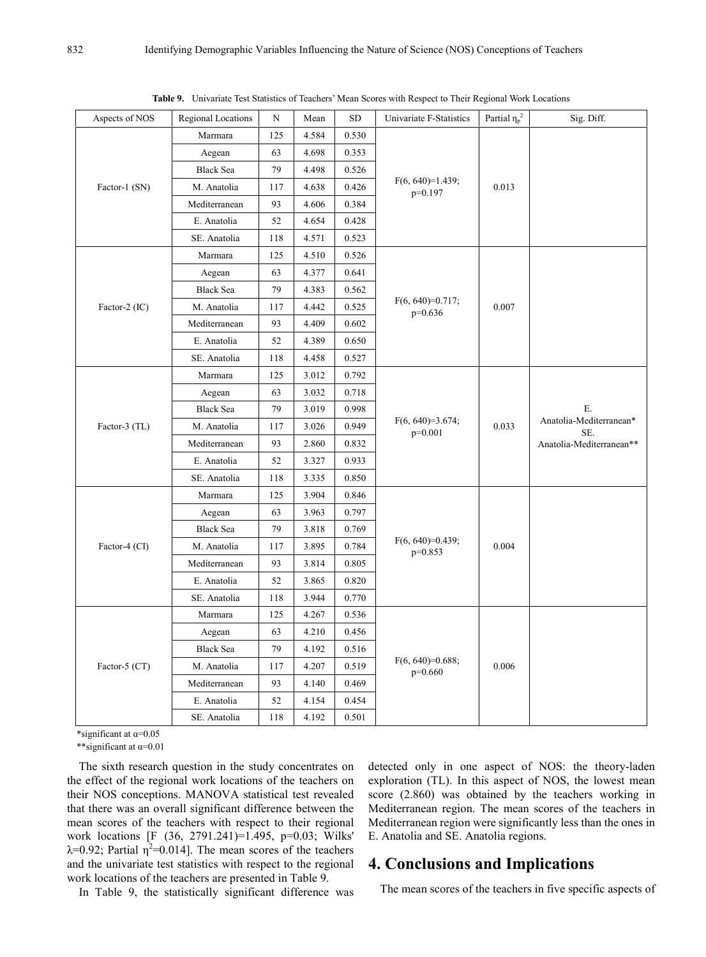| Aspects of NOS | Regional Locations | N                     | Mean  | ${\rm SD}$ | Univariate F-Statistics         | Partial $\eta_p^2$ | Sig. Diff.                     |
|----------------|--------------------|-----------------------|-------|------------|---------------------------------|--------------------|--------------------------------|
|                | Marmara            | 125                   | 4.584 | 0.530      |                                 |                    |                                |
| Factor-1 (SN)  | Aegean             | 63                    | 4.698 | 0.353      |                                 | 0.013              |                                |
|                | <b>Black Sea</b>   | 79                    | 4.498 | 0.526      | $F(6, 640)=1.439;$<br>p=0.197   |                    |                                |
|                | M. Anatolia        | 117                   | 4.638 | 0.426      |                                 |                    |                                |
|                | Mediterranean      | 93                    | 4.606 | 0.384      |                                 |                    |                                |
|                | E. Anatolia        | 52                    | 4.654 | 0.428      |                                 |                    |                                |
|                | SE. Anatolia       | 118<br>4.571<br>0.523 |       |            |                                 |                    |                                |
|                | Marmara            | 125                   | 4.510 | 0.526      |                                 |                    |                                |
|                | Aegean             | 63                    | 4.377 | 0.641      |                                 |                    |                                |
|                | <b>Black Sea</b>   | 79                    | 4.383 | 0.562      |                                 |                    |                                |
| Factor-2 (IC)  | M. Anatolia        | 117                   | 4.442 | 0.525      | $F(6, 640)=0.717;$<br>$p=0.636$ | 0.007              |                                |
|                | Mediterranean      | 93                    | 4.409 | 0.602      |                                 |                    |                                |
|                | E. Anatolia        | 52                    | 4.389 | 0.650      |                                 |                    |                                |
|                | SE. Anatolia       | 118                   | 4.458 | 0.527      |                                 |                    |                                |
|                | Marmara            | 125                   | 3.012 | 0.792      |                                 |                    |                                |
|                | Aegean             | 63                    | 3.032 | 0.718      |                                 |                    |                                |
|                | <b>Black Sea</b>   | 79                    | 3.019 | 0.998      |                                 |                    | Ε.                             |
| Factor-3 (TL)  | M. Anatolia        | 117                   | 3.026 | 0.949      | $F(6, 640)=3.674;$<br>$p=0.001$ | 0.033              | Anatolia-Mediterranean*<br>SE. |
|                | Mediterranean      | 93                    | 2.860 | 0.832      |                                 |                    | Anatolia-Mediterranean**       |
|                | E. Anatolia        | 52                    | 3.327 | 0.933      |                                 |                    |                                |
|                | SE. Anatolia       | 118                   | 3.335 | 0.850      |                                 |                    |                                |
|                | Marmara            | 125                   | 3.904 | 0.846      |                                 |                    |                                |
|                | Aegean             | 63                    | 3.963 | 0.797      |                                 |                    |                                |
|                | <b>Black Sea</b>   | 79                    | 3.818 | 0.769      |                                 |                    |                                |
| Factor-4 (CI)  | M. Anatolia        | 117                   | 3.895 | 0.784      | $F(6, 640)=0.439;$<br>$p=0.853$ | 0.004              |                                |
|                | Mediterranean      | 93                    | 3.814 | 0.805      |                                 |                    |                                |
|                | E. Anatolia        | 52                    | 3.865 | 0.820      |                                 |                    |                                |
|                | SE. Anatolia       | 118                   | 3.944 | 0.770      |                                 |                    |                                |
|                | Marmara            | 125                   | 4.267 | 0.536      |                                 |                    |                                |
|                | Aegean             | 63                    | 4.210 | 0.456      |                                 |                    |                                |
|                | <b>Black Sea</b>   | 79                    | 4.192 | 0.516      |                                 |                    |                                |
| Factor-5 (CT)  | M. Anatolia        | 117                   | 4.207 | 0.519      | $F(6, 640)=0.688;$<br>$p=0.660$ | 0.006              |                                |
|                | Mediterranean      | 93                    | 4.140 | 0.469      |                                 |                    |                                |
|                | E. Anatolia        | 52                    | 4.154 | 0.454      |                                 |                    |                                |
|                | SE. Anatolia       | 118                   | 4.192 | 0.501      |                                 |                    |                                |
|                |                    |                       |       |            |                                 |                    |                                |

**Table 9.** Univariate Test Statistics of Teachers' Mean Scores with Respect to Their Regional Work Locations

\*significant at  $\alpha$ =0.05

\*\*significant at  $\alpha$ =0.01

The sixth research question in the study concentrates on the effect of the regional work locations of the teachers on their NOS conceptions. MANOVA statistical test revealed that there was an overall significant difference between the mean scores of the teachers with respect to their regional work locations [F (36, 2791.241)=1.495, p=0.03; Wilks'  $\lambda$ =0.92; Partial  $\eta^2$ =0.014]. The mean scores of the teachers and the univariate test statistics with respect to the regional work locations of the teachers are presented in Table 9.

detected only in one aspect of NOS: the theory-laden exploration (TL). In this aspect of NOS, the lowest mean score (2.860) was obtained by the teachers working in Mediterranean region. The mean scores of the teachers in Mediterranean region were significantly less than the ones in E. Anatolia and SE. Anatolia regions.

## **4. Conclusions and Implications**

In Table 9, the statistically significant difference was

The mean scores of the teachers in five specific aspects of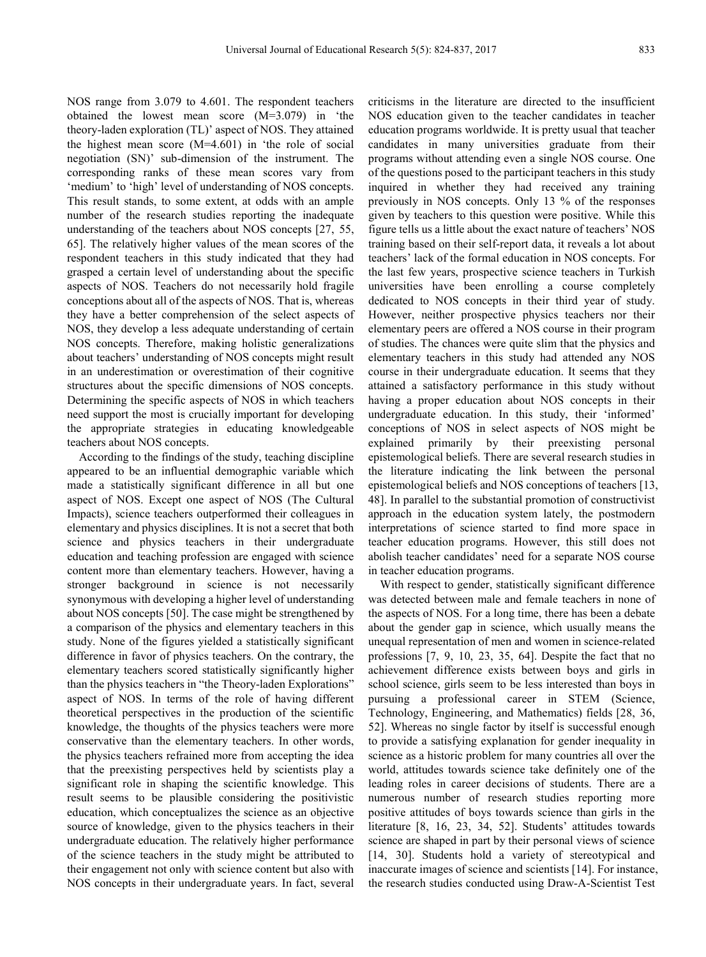NOS range from 3.079 to 4.601. The respondent teachers obtained the lowest mean score (M=3.079) in 'the theory-laden exploration (TL)' aspect of NOS. They attained the highest mean score (M=4.601) in 'the role of social negotiation (SN)' sub-dimension of the instrument. The corresponding ranks of these mean scores vary from 'medium' to 'high' level of understanding of NOS concepts. This result stands, to some extent, at odds with an ample number of the research studies reporting the inadequate understanding of the teachers about NOS concepts [27, 55, 65]. The relatively higher values of the mean scores of the respondent teachers in this study indicated that they had grasped a certain level of understanding about the specific aspects of NOS. Teachers do not necessarily hold fragile conceptions about all of the aspects of NOS. That is, whereas they have a better comprehension of the select aspects of NOS, they develop a less adequate understanding of certain NOS concepts. Therefore, making holistic generalizations about teachers' understanding of NOS concepts might result in an underestimation or overestimation of their cognitive structures about the specific dimensions of NOS concepts. Determining the specific aspects of NOS in which teachers need support the most is crucially important for developing the appropriate strategies in educating knowledgeable teachers about NOS concepts.

According to the findings of the study, teaching discipline appeared to be an influential demographic variable which made a statistically significant difference in all but one aspect of NOS. Except one aspect of NOS (The Cultural Impacts), science teachers outperformed their colleagues in elementary and physics disciplines. It is not a secret that both science and physics teachers in their undergraduate education and teaching profession are engaged with science content more than elementary teachers. However, having a stronger background in science is not necessarily synonymous with developing a higher level of understanding about NOS concepts [50]. The case might be strengthened by a comparison of the physics and elementary teachers in this study. None of the figures yielded a statistically significant difference in favor of physics teachers. On the contrary, the elementary teachers scored statistically significantly higher than the physics teachers in "the Theory-laden Explorations" aspect of NOS. In terms of the role of having different theoretical perspectives in the production of the scientific knowledge, the thoughts of the physics teachers were more conservative than the elementary teachers. In other words, the physics teachers refrained more from accepting the idea that the preexisting perspectives held by scientists play a significant role in shaping the scientific knowledge. This result seems to be plausible considering the positivistic education, which conceptualizes the science as an objective source of knowledge, given to the physics teachers in their undergraduate education. The relatively higher performance of the science teachers in the study might be attributed to their engagement not only with science content but also with NOS concepts in their undergraduate years. In fact, several

criticisms in the literature are directed to the insufficient NOS education given to the teacher candidates in teacher education programs worldwide. It is pretty usual that teacher candidates in many universities graduate from their programs without attending even a single NOS course. One of the questions posed to the participant teachers in this study inquired in whether they had received any training previously in NOS concepts. Only 13 % of the responses given by teachers to this question were positive. While this figure tells us a little about the exact nature of teachers' NOS training based on their self-report data, it reveals a lot about teachers' lack of the formal education in NOS concepts. For the last few years, prospective science teachers in Turkish universities have been enrolling a course completely dedicated to NOS concepts in their third year of study. However, neither prospective physics teachers nor their elementary peers are offered a NOS course in their program of studies. The chances were quite slim that the physics and elementary teachers in this study had attended any NOS course in their undergraduate education. It seems that they attained a satisfactory performance in this study without having a proper education about NOS concepts in their undergraduate education. In this study, their 'informed' conceptions of NOS in select aspects of NOS might be explained primarily by their preexisting personal epistemological beliefs. There are several research studies in the literature indicating the link between the personal epistemological beliefs and NOS conceptions of teachers [13, 48]. In parallel to the substantial promotion of constructivist approach in the education system lately, the postmodern interpretations of science started to find more space in teacher education programs. However, this still does not abolish teacher candidates' need for a separate NOS course in teacher education programs.

With respect to gender, statistically significant difference was detected between male and female teachers in none of the aspects of NOS. For a long time, there has been a debate about the gender gap in science, which usually means the unequal representation of men and women in science-related professions [7, 9, 10, 23, 35, 64]. Despite the fact that no achievement difference exists between boys and girls in school science, girls seem to be less interested than boys in pursuing a professional career in STEM (Science, Technology, Engineering, and Mathematics) fields [28, 36, 52]. Whereas no single factor by itself is successful enough to provide a satisfying explanation for gender inequality in science as a historic problem for many countries all over the world, attitudes towards science take definitely one of the leading roles in career decisions of students. There are a numerous number of research studies reporting more positive attitudes of boys towards science than girls in the literature [8, 16, 23, 34, 52]. Students' attitudes towards science are shaped in part by their personal views of science [14, 30]. Students hold a variety of stereotypical and inaccurate images of science and scientists [14]. For instance, the research studies conducted using Draw-A-Scientist Test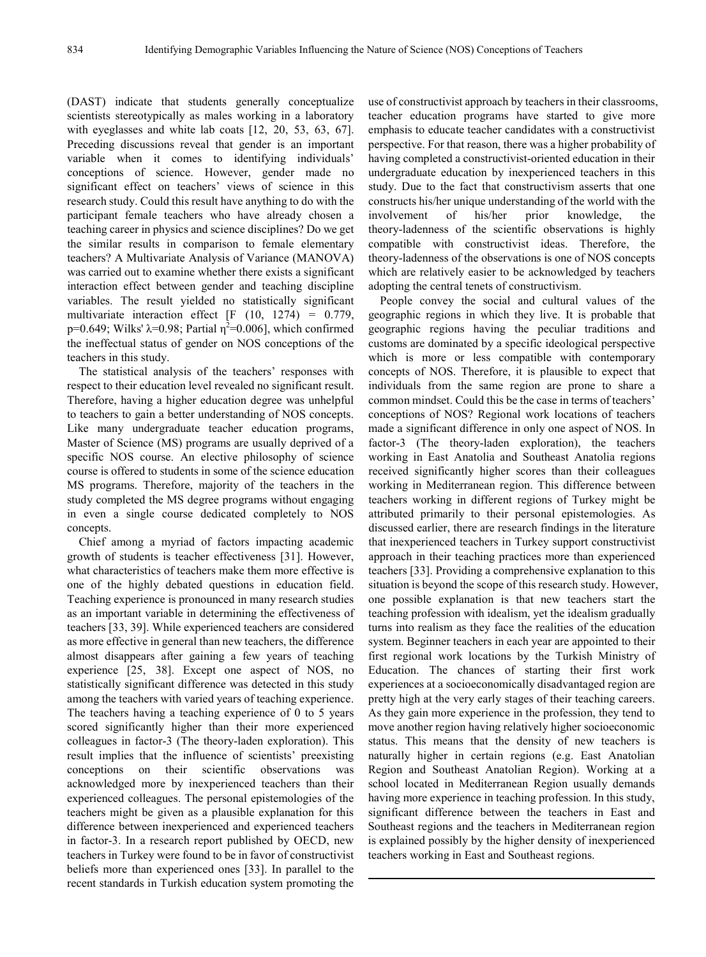(DAST) indicate that students generally conceptualize scientists stereotypically as males working in a laboratory with eyeglasses and white lab coats [12, 20, 53, 63, 67]. Preceding discussions reveal that gender is an important variable when it comes to identifying individuals' conceptions of science. However, gender made no significant effect on teachers' views of science in this research study. Could this result have anything to do with the participant female teachers who have already chosen a teaching career in physics and science disciplines? Do we get the similar results in comparison to female elementary teachers? A Multivariate Analysis of Variance (MANOVA) was carried out to examine whether there exists a significant interaction effect between gender and teaching discipline variables. The result yielded no statistically significant multivariate interaction effect  $[F (10, 1274) = 0.779]$ p=0.649; Wilks' λ=0.98; Partial  $η^2$ =0.006], which confirmed the ineffectual status of gender on NOS conceptions of the teachers in this study.

The statistical analysis of the teachers' responses with respect to their education level revealed no significant result. Therefore, having a higher education degree was unhelpful to teachers to gain a better understanding of NOS concepts. Like many undergraduate teacher education programs, Master of Science (MS) programs are usually deprived of a specific NOS course. An elective philosophy of science course is offered to students in some of the science education MS programs. Therefore, majority of the teachers in the study completed the MS degree programs without engaging in even a single course dedicated completely to NOS concepts.

Chief among a myriad of factors impacting academic growth of students is teacher effectiveness [31]. However, what characteristics of teachers make them more effective is one of the highly debated questions in education field. Teaching experience is pronounced in many research studies as an important variable in determining the effectiveness of teachers [33, 39]. While experienced teachers are considered as more effective in general than new teachers, the difference almost disappears after gaining a few years of teaching experience [25, 38]. Except one aspect of NOS, no statistically significant difference was detected in this study among the teachers with varied years of teaching experience. The teachers having a teaching experience of 0 to 5 years scored significantly higher than their more experienced colleagues in factor-3 (The theory-laden exploration). This result implies that the influence of scientists' preexisting conceptions on their scientific observations was acknowledged more by inexperienced teachers than their experienced colleagues. The personal epistemologies of the teachers might be given as a plausible explanation for this difference between inexperienced and experienced teachers in factor-3. In a research report published by OECD, new teachers in Turkey were found to be in favor of constructivist beliefs more than experienced ones [33]. In parallel to the recent standards in Turkish education system promoting the

use of constructivist approach by teachers in their classrooms, teacher education programs have started to give more emphasis to educate teacher candidates with a constructivist perspective. For that reason, there was a higher probability of having completed a constructivist-oriented education in their undergraduate education by inexperienced teachers in this study. Due to the fact that constructivism asserts that one constructs his/her unique understanding of the world with the involvement of his/her prior knowledge, the theory-ladenness of the scientific observations is highly compatible with constructivist ideas. Therefore, the theory-ladenness of the observations is one of NOS concepts which are relatively easier to be acknowledged by teachers adopting the central tenets of constructivism.

People convey the social and cultural values of the geographic regions in which they live. It is probable that geographic regions having the peculiar traditions and customs are dominated by a specific ideological perspective which is more or less compatible with contemporary concepts of NOS. Therefore, it is plausible to expect that individuals from the same region are prone to share a common mindset. Could this be the case in terms of teachers' conceptions of NOS? Regional work locations of teachers made a significant difference in only one aspect of NOS. In factor-3 (The theory-laden exploration), the teachers working in East Anatolia and Southeast Anatolia regions received significantly higher scores than their colleagues working in Mediterranean region. This difference between teachers working in different regions of Turkey might be attributed primarily to their personal epistemologies. As discussed earlier, there are research findings in the literature that inexperienced teachers in Turkey support constructivist approach in their teaching practices more than experienced teachers [33]. Providing a comprehensive explanation to this situation is beyond the scope of this research study. However, one possible explanation is that new teachers start the teaching profession with idealism, yet the idealism gradually turns into realism as they face the realities of the education system. Beginner teachers in each year are appointed to their first regional work locations by the Turkish Ministry of Education. The chances of starting their first work experiences at a socioeconomically disadvantaged region are pretty high at the very early stages of their teaching careers. As they gain more experience in the profession, they tend to move another region having relatively higher socioeconomic status. This means that the density of new teachers is naturally higher in certain regions (e.g. East Anatolian Region and Southeast Anatolian Region). Working at a school located in Mediterranean Region usually demands having more experience in teaching profession. In this study, significant difference between the teachers in East and Southeast regions and the teachers in Mediterranean region is explained possibly by the higher density of inexperienced teachers working in East and Southeast regions.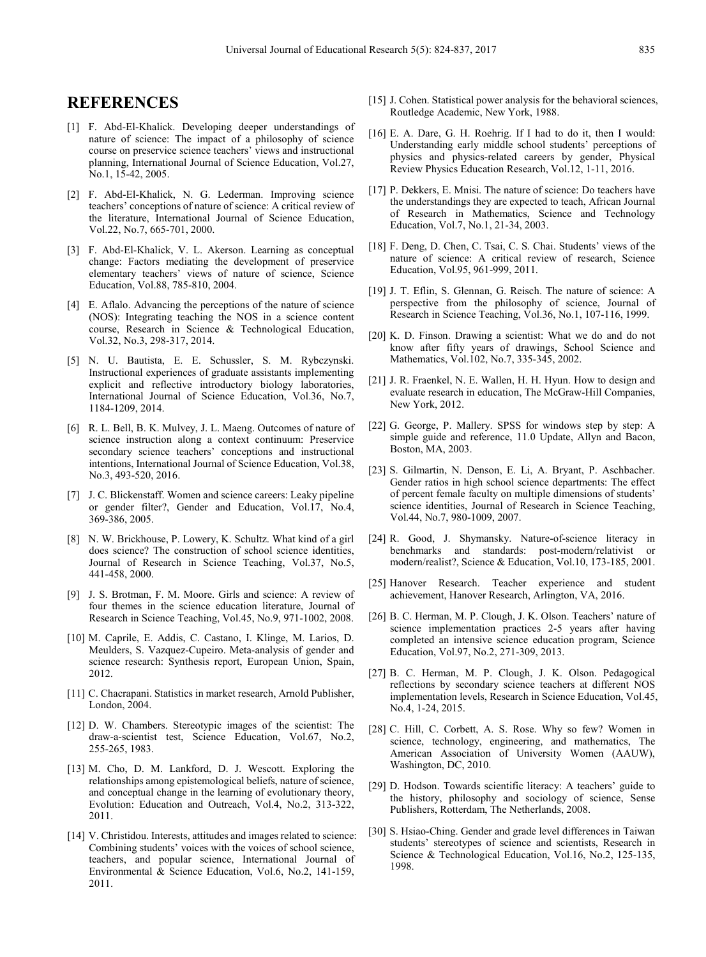## **REFERENCES**

- [1] F. Abd-El-Khalick. Developing deeper understandings of nature of science: The impact of a philosophy of science course on preservice science teachers' views and instructional planning, International Journal of Science Education, Vol.27, No.1, 15-42, 2005.
- [2] F. Abd-El-Khalick, N. G. Lederman. Improving science teachers' conceptions of nature of science: A critical review of the literature, International Journal of Science Education, Vol.22, No.7, 665-701, 2000.
- [3] F. Abd-El-Khalick, V. L. Akerson. Learning as conceptual change: Factors mediating the development of preservice elementary teachers' views of nature of science, Science Education, Vol.88, 785-810, 2004.
- [4] E. Aflalo. Advancing the perceptions of the nature of science (NOS): Integrating teaching the NOS in a science content course, Research in Science & Technological Education, Vol.32, No.3, 298-317, 2014.
- [5] N. U. Bautista, E. E. Schussler, S. M. Rybczynski. Instructional experiences of graduate assistants implementing explicit and reflective introductory biology laboratories, International Journal of Science Education, Vol.36, No.7, 1184-1209, 2014.
- [6] R. L. Bell, B. K. Mulvey, J. L. Maeng. Outcomes of nature of science instruction along a context continuum: Preservice secondary science teachers' conceptions and instructional intentions, International Journal of Science Education, Vol.38, No.3, 493-520, 2016.
- [7] J. C. Blickenstaff. Women and science careers: Leaky pipeline or gender filter?, Gender and Education, Vol.17, No.4, 369-386, 2005.
- [8] N. W. Brickhouse, P. Lowery, K. Schultz. What kind of a girl does science? The construction of school science identities, Journal of Research in Science Teaching, Vol.37, No.5, 441-458, 2000.
- [9] J. S. Brotman, F. M. Moore. Girls and science: A review of four themes in the science education literature, Journal of Research in Science Teaching, Vol.45, No.9, 971-1002, 2008.
- [10] M. Caprile, E. Addis, C. Castano, I. Klinge, M. Larios, D. Meulders, S. Vazquez-Cupeiro. Meta-analysis of gender and science research: Synthesis report, European Union, Spain, 2012.
- [11] C. Chacrapani. Statistics in market research, Arnold Publisher, London, 2004.
- [12] D. W. Chambers. Stereotypic images of the scientist: The draw-a-scientist test, Science Education, Vol.67, No.2, 255-265, 1983.
- [13] M. Cho, D. M. Lankford, D. J. Wescott. Exploring the relationships among epistemological beliefs, nature of science, and conceptual change in the learning of evolutionary theory, Evolution: Education and Outreach, Vol.4, No.2, 313-322, 2011.
- [14] V. Christidou. Interests, attitudes and images related to science: Combining students' voices with the voices of school science, teachers, and popular science, International Journal of Environmental & Science Education, Vol.6, No.2, 141-159, 2011.
- [15] J. Cohen. Statistical power analysis for the behavioral sciences, Routledge Academic, New York, 1988.
- [16] E. A. Dare, G. H. Roehrig. If I had to do it, then I would: Understanding early middle school students' perceptions of physics and physics-related careers by gender, Physical Review Physics Education Research, Vol.12, 1-11, 2016.
- [17] P. Dekkers, E. Mnisi. The nature of science: Do teachers have the understandings they are expected to teach, African Journal of Research in Mathematics, Science and Technology Education, Vol.7, No.1, 21-34, 2003.
- [18] F. Deng, D. Chen, C. Tsai, C. S. Chai. Students' views of the nature of science: A critical review of research, Science Education, Vol.95, 961-999, 2011.
- [19] J. T. Eflin, S. Glennan, G. Reisch. The nature of science: A perspective from the philosophy of science, Journal of Research in Science Teaching, Vol.36, No.1, 107-116, 1999.
- [20] K. D. Finson. Drawing a scientist: What we do and do not know after fifty years of drawings, School Science and Mathematics, Vol.102, No.7, 335-345, 2002.
- [21] J. R. Fraenkel, N. E. Wallen, H. H. Hyun. How to design and evaluate research in education, The McGraw-Hill Companies, New York, 2012.
- [22] G. George, P. Mallery. SPSS for windows step by step: A simple guide and reference, 11.0 Update, Allyn and Bacon, Boston, MA, 2003.
- [23] S. Gilmartin, N. Denson, E. Li, A. Bryant, P. Aschbacher. Gender ratios in high school science departments: The effect of percent female faculty on multiple dimensions of students' science identities, Journal of Research in Science Teaching, Vol.44, No.7, 980-1009, 2007.
- [24] R. Good, J. Shymansky. Nature-of-science literacy in benchmarks and standards: post-modern/relativist or modern/realist?, Science & Education, Vol.10, 173-185, 2001.
- [25] Hanover Research. Teacher experience and student achievement, Hanover Research, Arlington, VA, 2016.
- [26] B. C. Herman, M. P. Clough, J. K. Olson. Teachers' nature of science implementation practices 2-5 years after having completed an intensive science education program, Science Education, Vol.97, No.2, 271-309, 2013.
- [27] B. C. Herman, M. P. Clough, J. K. Olson. Pedagogical reflections by secondary science teachers at different NOS implementation levels, Research in Science Education, Vol.45, No.4, 1-24, 2015.
- [28] C. Hill, C. Corbett, A. S. Rose. Why so few? Women in science, technology, engineering, and mathematics, The American Association of University Women (AAUW), Washington, DC, 2010.
- [29] D. Hodson. Towards scientific literacy: A teachers' guide to the history, philosophy and sociology of science, Sense Publishers, Rotterdam, The Netherlands, 2008.
- [30] S. Hsiao-Ching. Gender and grade level differences in Taiwan students' stereotypes of science and scientists, Research in Science & Technological Education, Vol.16, No.2, 125-135, 1998.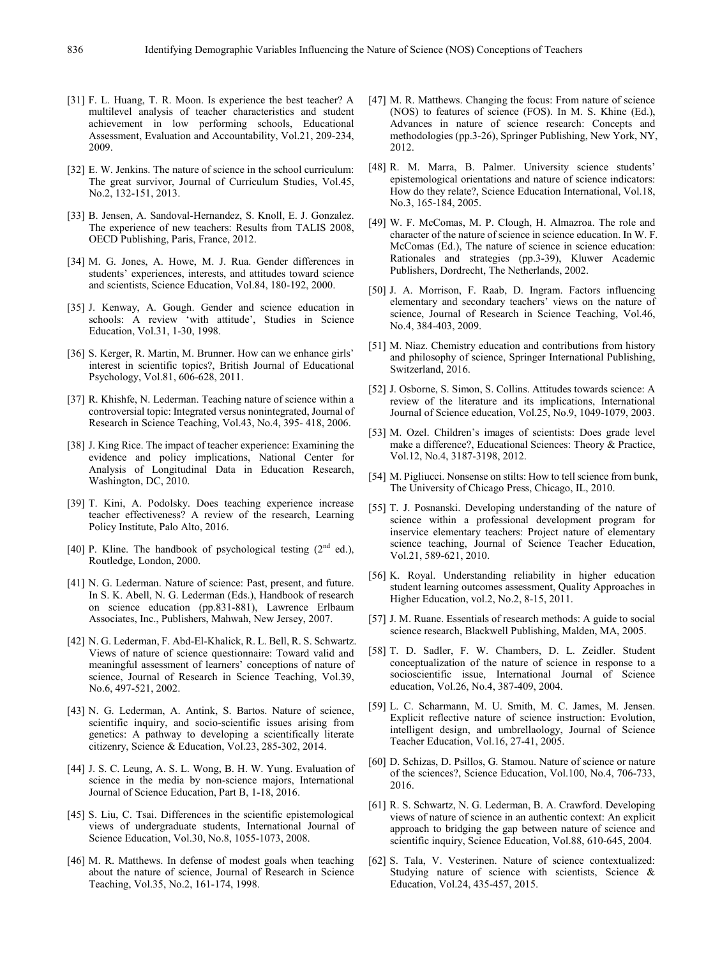- [31] F. L. Huang, T. R. Moon. Is experience the best teacher? A multilevel analysis of teacher characteristics and student achievement in low performing schools, Educational Assessment, Evaluation and Accountability, Vol.21, 209-234, 2009.
- [32] E. W. Jenkins. The nature of science in the school curriculum: The great survivor, Journal of Curriculum Studies, Vol.45, No.2, 132-151, 2013.
- [33] B. Jensen, A. Sandoval-Hernandez, S. Knoll, E. J. Gonzalez. The experience of new teachers: Results from TALIS 2008, OECD Publishing, Paris, France, 2012.
- [34] M. G. Jones, A. Howe, M. J. Rua. Gender differences in students' experiences, interests, and attitudes toward science and scientists, Science Education, Vol.84, 180-192, 2000.
- [35] J. Kenway, A. Gough. Gender and science education in schools: A review 'with attitude', Studies in Science Education, Vol.31, 1-30, 1998.
- [36] S. Kerger, R. Martin, M. Brunner. How can we enhance girls' interest in scientific topics?, British Journal of Educational Psychology, Vol.81, 606-628, 2011.
- [37] R. Khishfe, N. Lederman. Teaching nature of science within a controversial topic: Integrated versus nonintegrated, Journal of Research in Science Teaching, Vol.43, No.4, 395- 418, 2006.
- [38] J. King Rice. The impact of teacher experience: Examining the evidence and policy implications, National Center for Analysis of Longitudinal Data in Education Research, Washington, DC, 2010.
- [39] T. Kini, A. Podolsky. Does teaching experience increase teacher effectiveness? A review of the research, Learning Policy Institute, Palo Alto, 2016.
- [40] P. Kline. The handbook of psychological testing  $(2<sup>nd</sup>$  ed.), Routledge, London, 2000.
- [41] N. G. Lederman. Nature of science: Past, present, and future. In S. K. Abell, N. G. Lederman (Eds.), Handbook of research on science education (pp.831-881), Lawrence Erlbaum Associates, Inc., Publishers, Mahwah, New Jersey, 2007.
- [42] N. G. Lederman, F. Abd-El-Khalick, R. L. Bell, R. S. Schwartz. Views of nature of science questionnaire: Toward valid and meaningful assessment of learners' conceptions of nature of science, Journal of Research in Science Teaching, Vol.39, No.6, 497-521, 2002.
- [43] N. G. Lederman, A. Antink, S. Bartos. Nature of science, scientific inquiry, and socio-scientific issues arising from genetics: A pathway to developing a scientifically literate citizenry, Science & Education, Vol.23, 285-302, 2014.
- [44] J. S. C. Leung, A. S. L. Wong, B. H. W. Yung. Evaluation of science in the media by non-science majors, International Journal of Science Education, Part B, 1-18, 2016.
- [45] S. Liu, C. Tsai. Differences in the scientific epistemological views of undergraduate students, International Journal of Science Education, Vol.30, No.8, 1055-1073, 2008.
- [46] M. R. Matthews. In defense of modest goals when teaching about the nature of science, Journal of Research in Science Teaching, Vol.35, No.2, 161-174, 1998.
- [47] M. R. Matthews. Changing the focus: From nature of science (NOS) to features of science (FOS). In M. S. Khine (Ed.), Advances in nature of science research: Concepts and methodologies (pp.3-26), Springer Publishing, New York, NY, 2012.
- [48] R. M. Marra, B. Palmer. University science students' epistemological orientations and nature of science indicators: How do they relate?, Science Education International, Vol.18, No.3, 165-184, 2005.
- [49] W. F. McComas, M. P. Clough, H. Almazroa. The role and character of the nature of science in science education. In W. F. McComas (Ed.), The nature of science in science education: Rationales and strategies (pp.3-39), Kluwer Academic Publishers, Dordrecht, The Netherlands, 2002.
- [50] J. A. Morrison, F. Raab, D. Ingram. Factors influencing elementary and secondary teachers' views on the nature of science, Journal of Research in Science Teaching, Vol.46, No.4, 384-403, 2009.
- [51] M. Niaz. Chemistry education and contributions from history and philosophy of science, Springer International Publishing, Switzerland, 2016.
- [52] J. Osborne, S. Simon, S. Collins. Attitudes towards science: A review of the literature and its implications, International Journal of Science education, Vol.25, No.9, 1049-1079, 2003.
- [53] M. Ozel. Children's images of scientists: Does grade level make a difference?, Educational Sciences: Theory & Practice, Vol.12, No.4, 3187-3198, 2012.
- [54] M. Pigliucci. Nonsense on stilts: How to tell science from bunk, The University of Chicago Press, Chicago, IL, 2010.
- [55] T. J. Posnanski. Developing understanding of the nature of science within a professional development program for inservice elementary teachers: Project nature of elementary science teaching, Journal of Science Teacher Education, Vol.21, 589-621, 2010.
- [56] K. Royal. Understanding reliability in higher education student learning outcomes assessment, Quality Approaches in Higher Education, vol.2, No.2, 8-15, 2011.
- [57] J. M. Ruane. Essentials of research methods: A guide to social science research, Blackwell Publishing, Malden, MA, 2005.
- [58] T. D. Sadler, F. W. Chambers, D. L. Zeidler. Student conceptualization of the nature of science in response to a socioscientific issue, International Journal of Science education, Vol.26, No.4, 387-409, 2004.
- [59] L. C. Scharmann, M. U. Smith, M. C. James, M. Jensen. Explicit reflective nature of science instruction: Evolution, intelligent design, and umbrellaology, Journal of Science Teacher Education, Vol.16, 27-41, 2005.
- [60] D. Schizas, D. Psillos, G. Stamou. Nature of science or nature of the sciences?, Science Education, Vol.100, No.4, 706-733, 2016.
- [61] R. S. Schwartz, N. G. Lederman, B. A. Crawford. Developing views of nature of science in an authentic context: An explicit approach to bridging the gap between nature of science and scientific inquiry, Science Education, Vol.88, 610-645, 2004.
- [62] S. Tala, V. Vesterinen. Nature of science contextualized: Studying nature of science with scientists, Science & Education, Vol.24, 435-457, 2015.